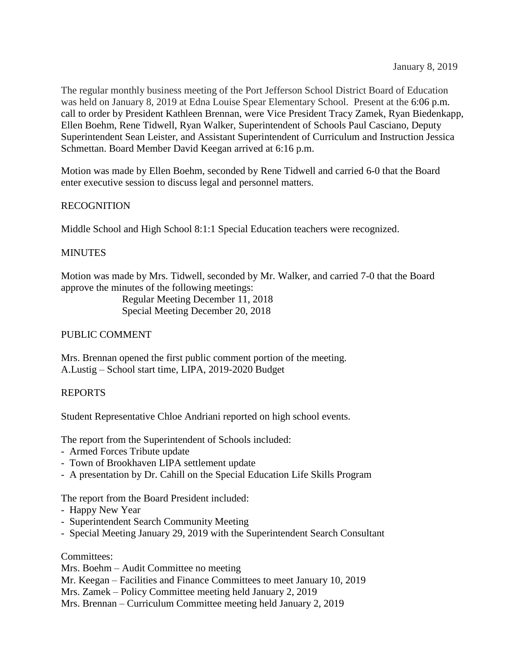The regular monthly business meeting of the Port Jefferson School District Board of Education was held on January 8, 2019 at Edna Louise Spear Elementary School. Present at the 6:06 p.m. call to order by President Kathleen Brennan, were Vice President Tracy Zamek, Ryan Biedenkapp, Ellen Boehm, Rene Tidwell, Ryan Walker, Superintendent of Schools Paul Casciano, Deputy Superintendent Sean Leister, and Assistant Superintendent of Curriculum and Instruction Jessica Schmettan. Board Member David Keegan arrived at 6:16 p.m.

Motion was made by Ellen Boehm, seconded by Rene Tidwell and carried 6-0 that the Board enter executive session to discuss legal and personnel matters.

# RECOGNITION

Middle School and High School 8:1:1 Special Education teachers were recognized.

# **MINUTES**

Motion was made by Mrs. Tidwell, seconded by Mr. Walker, and carried 7-0 that the Board approve the minutes of the following meetings:

> Regular Meeting December 11, 2018 Special Meeting December 20, 2018

# PUBLIC COMMENT

Mrs. Brennan opened the first public comment portion of the meeting. A.Lustig – School start time, LIPA, 2019-2020 Budget

## REPORTS

Student Representative Chloe Andriani reported on high school events.

The report from the Superintendent of Schools included:

- Armed Forces Tribute update
- Town of Brookhaven LIPA settlement update
- A presentation by Dr. Cahill on the Special Education Life Skills Program

The report from the Board President included:

- Happy New Year
- Superintendent Search Community Meeting
- Special Meeting January 29, 2019 with the Superintendent Search Consultant

## Committees:

Mrs. Boehm – Audit Committee no meeting

Mr. Keegan – Facilities and Finance Committees to meet January 10, 2019

Mrs. Zamek – Policy Committee meeting held January 2, 2019

Mrs. Brennan – Curriculum Committee meeting held January 2, 2019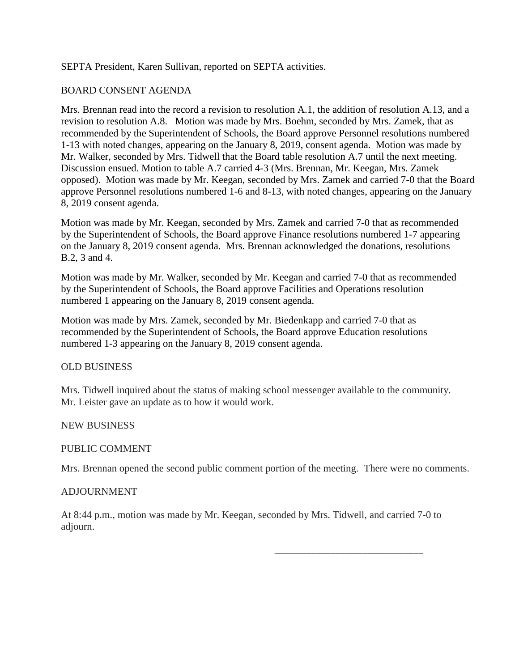## SEPTA President, Karen Sullivan, reported on SEPTA activities.

## BOARD CONSENT AGENDA

Mrs. Brennan read into the record a revision to resolution A.1, the addition of resolution A.13, and a revision to resolution A.8. Motion was made by Mrs. Boehm, seconded by Mrs. Zamek, that as recommended by the Superintendent of Schools, the Board approve Personnel resolutions numbered 1-13 with noted changes, appearing on the January 8, 2019, consent agenda. Motion was made by Mr. Walker, seconded by Mrs. Tidwell that the Board table resolution A.7 until the next meeting. Discussion ensued. Motion to table A.7 carried 4-3 (Mrs. Brennan, Mr. Keegan, Mrs. Zamek opposed). Motion was made by Mr. Keegan, seconded by Mrs. Zamek and carried 7-0 that the Board approve Personnel resolutions numbered 1-6 and 8-13, with noted changes, appearing on the January 8, 2019 consent agenda.

Motion was made by Mr. Keegan, seconded by Mrs. Zamek and carried 7-0 that as recommended by the Superintendent of Schools, the Board approve Finance resolutions numbered 1-7 appearing on the January 8, 2019 consent agenda. Mrs. Brennan acknowledged the donations, resolutions B.2, 3 and 4.

Motion was made by Mr. Walker, seconded by Mr. Keegan and carried 7-0 that as recommended by the Superintendent of Schools, the Board approve Facilities and Operations resolution numbered 1 appearing on the January 8, 2019 consent agenda.

Motion was made by Mrs. Zamek, seconded by Mr. Biedenkapp and carried 7-0 that as recommended by the Superintendent of Schools, the Board approve Education resolutions numbered 1-3 appearing on the January 8, 2019 consent agenda.

## OLD BUSINESS

Mrs. Tidwell inquired about the status of making school messenger available to the community. Mr. Leister gave an update as to how it would work.

NEW BUSINESS

### PUBLIC COMMENT

Mrs. Brennan opened the second public comment portion of the meeting. There were no comments.

\_\_\_\_\_\_\_\_\_\_\_\_\_\_\_\_\_\_\_\_\_\_\_\_\_\_\_\_\_\_\_\_

### ADJOURNMENT

At 8:44 p.m., motion was made by Mr. Keegan, seconded by Mrs. Tidwell, and carried 7-0 to adjourn.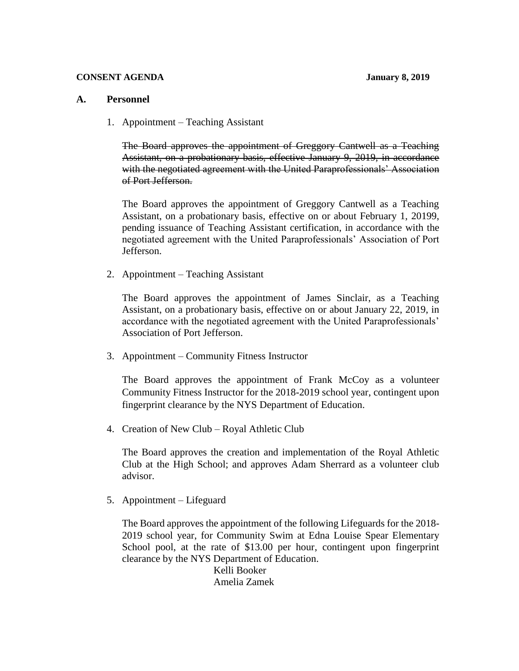#### **CONSENT AGENDA January 8, 2019**

### **A. Personnel**

1. Appointment – Teaching Assistant

The Board approves the appointment of Greggory Cantwell as a Teaching Assistant, on a probationary basis, effective January 9, 2019, in accordance with the negotiated agreement with the United Paraprofessionals' Association of Port Jefferson.

The Board approves the appointment of Greggory Cantwell as a Teaching Assistant, on a probationary basis, effective on or about February 1, 20199, pending issuance of Teaching Assistant certification, in accordance with the negotiated agreement with the United Paraprofessionals' Association of Port Jefferson.

2. Appointment – Teaching Assistant

The Board approves the appointment of James Sinclair, as a Teaching Assistant, on a probationary basis, effective on or about January 22, 2019, in accordance with the negotiated agreement with the United Paraprofessionals' Association of Port Jefferson.

3. Appointment – Community Fitness Instructor

The Board approves the appointment of Frank McCoy as a volunteer Community Fitness Instructor for the 2018-2019 school year, contingent upon fingerprint clearance by the NYS Department of Education.

4. Creation of New Club – Royal Athletic Club

The Board approves the creation and implementation of the Royal Athletic Club at the High School; and approves Adam Sherrard as a volunteer club advisor.

5. Appointment – Lifeguard

The Board approves the appointment of the following Lifeguards for the 2018- 2019 school year, for Community Swim at Edna Louise Spear Elementary School pool, at the rate of \$13.00 per hour, contingent upon fingerprint clearance by the NYS Department of Education.

> Kelli Booker Amelia Zamek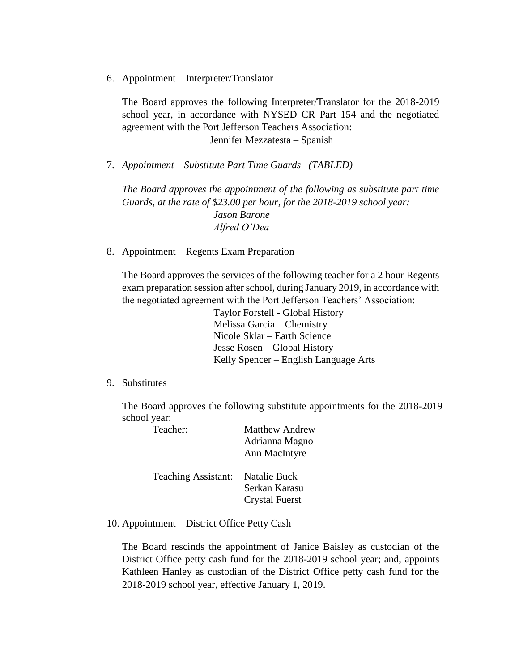6. Appointment – Interpreter/Translator

The Board approves the following Interpreter/Translator for the 2018-2019 school year, in accordance with NYSED CR Part 154 and the negotiated agreement with the Port Jefferson Teachers Association: Jennifer Mezzatesta – Spanish

7. *Appointment – Substitute Part Time Guards (TABLED)*

*The Board approves the appointment of the following as substitute part time Guards, at the rate of \$23.00 per hour, for the 2018-2019 school year: Jason Barone Alfred O'Dea*

8. Appointment – Regents Exam Preparation

The Board approves the services of the following teacher for a 2 hour Regents exam preparation session after school, during January 2019, in accordance with the negotiated agreement with the Port Jefferson Teachers' Association:

> Taylor Forstell - Global History Melissa Garcia – Chemistry Nicole Sklar – Earth Science Jesse Rosen – Global History Kelly Spencer – English Language Arts

9. Substitutes

The Board approves the following substitute appointments for the 2018-2019 school year:

Teacher: Matthew Andrew

|                     | Adrianna Magno<br>Ann MacIntyre                        |
|---------------------|--------------------------------------------------------|
| Teaching Assistant: | Natalie Buck<br>Serkan Karasu<br><b>Crystal Fuerst</b> |

10. Appointment – District Office Petty Cash

The Board rescinds the appointment of Janice Baisley as custodian of the District Office petty cash fund for the 2018-2019 school year; and, appoints Kathleen Hanley as custodian of the District Office petty cash fund for the 2018-2019 school year, effective January 1, 2019.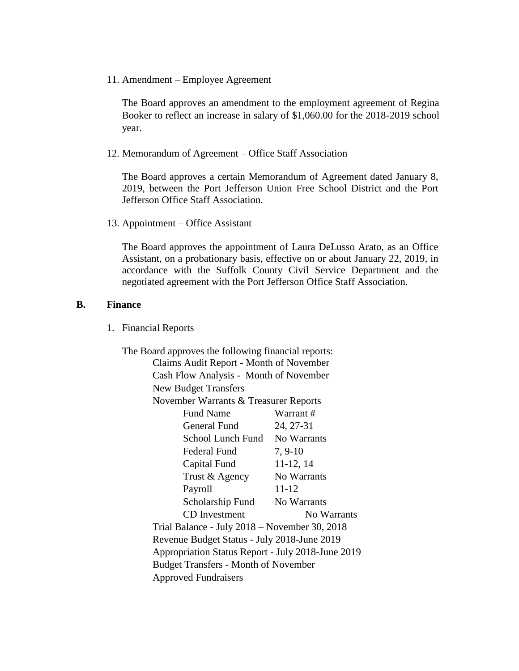11. Amendment – Employee Agreement

The Board approves an amendment to the employment agreement of Regina Booker to reflect an increase in salary of \$1,060.00 for the 2018-2019 school year.

12. Memorandum of Agreement – Office Staff Association

The Board approves a certain Memorandum of Agreement dated January 8, 2019, between the Port Jefferson Union Free School District and the Port Jefferson Office Staff Association.

13. Appointment – Office Assistant

The Board approves the appointment of Laura DeLusso Arato, as an Office Assistant, on a probationary basis, effective on or about January 22, 2019, in accordance with the Suffolk County Civil Service Department and the negotiated agreement with the Port Jefferson Office Staff Association.

#### **B. Finance**

1. Financial Reports

The Board approves the following financial reports: Claims Audit Report - Month of November Cash Flow Analysis - Month of November New Budget Transfers November Warrants & Treasurer Reports Fund Name Warrant # General Fund 24, 27-31 School Lunch Fund No Warrants Federal Fund 7, 9-10 Capital Fund 11-12, 14 Trust & Agency No Warrants Payroll 11-12 Scholarship Fund No Warrants CD Investment No Warrants Trial Balance - July 2018 – November 30, 2018 Revenue Budget Status - July 2018-June 2019 Appropriation Status Report - July 2018-June 2019 Budget Transfers - Month of November Approved Fundraisers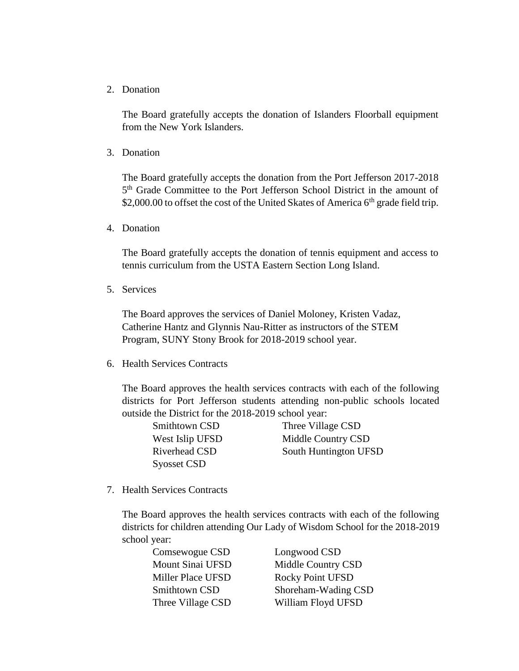2. Donation

The Board gratefully accepts the donation of Islanders Floorball equipment from the New York Islanders.

3. Donation

The Board gratefully accepts the donation from the Port Jefferson 2017-2018 5<sup>th</sup> Grade Committee to the Port Jefferson School District in the amount of \$2,000.00 to offset the cost of the United Skates of America  $6<sup>th</sup>$  grade field trip.

4. Donation

The Board gratefully accepts the donation of tennis equipment and access to tennis curriculum from the USTA Eastern Section Long Island.

5. Services

The Board approves the services of Daniel Moloney, Kristen Vadaz, Catherine Hantz and Glynnis Nau-Ritter as instructors of the STEM Program, SUNY Stony Brook for 2018-2019 school year.

6. Health Services Contracts

The Board approves the health services contracts with each of the following districts for Port Jefferson students attending non-public schools located outside the District for the 2018-2019 school year:

| Smithtown CSD      | Three Village CSD     |
|--------------------|-----------------------|
| West Islip UFSD    | Middle Country CSD    |
| Riverhead CSD      | South Huntington UFSD |
| <b>Syosset CSD</b> |                       |

7. Health Services Contracts

The Board approves the health services contracts with each of the following districts for children attending Our Lady of Wisdom School for the 2018-2019 school year:

| Comsewogue CSD    | Longwood CSD            |
|-------------------|-------------------------|
| Mount Sinai UFSD  | Middle Country CSD      |
| Miller Place UFSD | <b>Rocky Point UFSD</b> |
| Smithtown CSD     | Shoreham-Wading CSD     |
| Three Village CSD | William Floyd UFSD      |